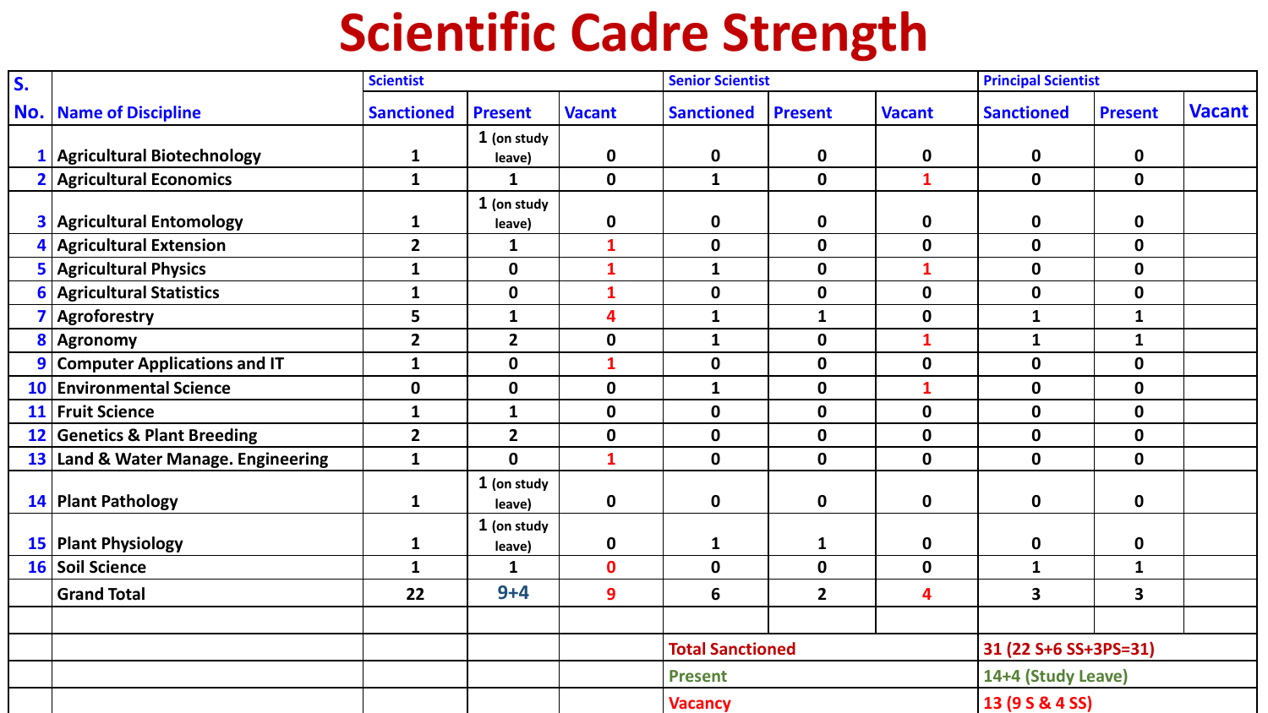## **Scientific Cadre Strength**

| S.        |                                      | <b>Scientist</b>  |                       |               | <b>Senior Scientist</b> |                |                | <b>Principal Scientist</b> |                         |               |
|-----------|--------------------------------------|-------------------|-----------------------|---------------|-------------------------|----------------|----------------|----------------------------|-------------------------|---------------|
| No.       | <b>Name of Discipline</b>            | <b>Sanctioned</b> | <b>Present</b>        | <b>Vacant</b> | <b>Sanctioned</b>       | <b>Present</b> | <b>Vacant</b>  | <b>Sanctioned</b>          | <b>Present</b>          | <b>Vacant</b> |
|           | <b>Agricultural Biotechnology</b>    | $\mathbf{1}$      | 1 (on study<br>leave) | $\mathbf 0$   | $\mathbf 0$             | $\mathbf 0$    | 0              | $\mathbf 0$                | $\mathbf 0$             |               |
|           | <b>Agricultural Economics</b>        | $\mathbf{1}$      | $\mathbf{1}$          | $\mathbf 0$   | $\mathbf{1}$            | $\mathbf 0$    | $\mathbf{1}$   | $\mathbf{0}$               | $\mathbf 0$             |               |
| 3         | <b>Agricultural Entomology</b>       | $\mathbf{1}$      | 1 (on study<br>leave) | $\mathbf 0$   | $\mathbf 0$             | $\mathbf 0$    | 0              | 0                          | $\mathbf 0$             |               |
| 4         | <b>Agricultural Extension</b>        | $\mathbf{2}$      | $\mathbf{1}$          | $\mathbf{1}$  | $\mathbf 0$             | $\mathbf 0$    | $\mathbf 0$    | $\mathbf 0$                | $\mathbf 0$             |               |
| 5         | <b>Agricultural Physics</b>          | $\mathbf{1}$      | $\mathbf 0$           | $\mathbf{1}$  | $\mathbf{1}$            | $\mathbf 0$    | $\mathbf{1}$   | $\mathbf 0$                | $\mathbf 0$             |               |
| 6         | <b>Agricultural Statistics</b>       | $\mathbf{1}$      | $\boldsymbol{0}$      | $\mathbf{1}$  | $\mathbf 0$             | $\mathbf 0$    | $\mathbf 0$    | $\mathbf 0$                | $\mathbf 0$             |               |
|           | Agroforestry                         | 5                 | $\mathbf{1}$          | 4             | $\mathbf{1}$            | $\mathbf{1}$   | $\mathbf 0$    | $\mathbf{1}$               | $\mathbf{1}$            |               |
| 8         | <b>Agronomy</b>                      | $\mathbf{2}$      | $\overline{2}$        | $\mathbf 0$   | $\mathbf{1}$            | $\mathbf 0$    | $\mathbf{1}$   | $\mathbf{1}$               | $\mathbf{1}$            |               |
| 9         | <b>Computer Applications and IT</b>  | $\mathbf{1}$      | $\mathbf 0$           | $\mathbf{1}$  | $\mathbf 0$             | $\mathbf 0$    | $\mathbf 0$    | $\mathbf 0$                | $\mathbf 0$             |               |
| <b>10</b> | <b>Environmental Science</b>         | $\mathbf 0$       | $\mathbf 0$           | $\mathbf 0$   | $\mathbf{1}$            | $\mathbf 0$    | $\overline{1}$ | $\mathbf 0$                | $\mathbf 0$             |               |
| 11        | <b>Fruit Science</b>                 | $\mathbf{1}$      | $\mathbf{1}$          | $\mathbf 0$   | $\mathbf 0$             | $\mathbf 0$    | $\mathbf{0}$   | $\mathbf 0$                | $\mathbf 0$             |               |
| 12        | <b>Genetics &amp; Plant Breeding</b> | $\mathbf{2}$      | $\overline{2}$        | $\mathbf 0$   | $\mathbf 0$             | $\mathbf 0$    | $\mathbf 0$    | $\mathbf 0$                | $\mathbf 0$             |               |
| 13        | Land & Water Manage. Engineering     | $\mathbf{1}$      | $\mathbf 0$           | $\mathbf{1}$  | $\mathbf 0$             | $\mathbf 0$    | $\mathbf 0$    | $\mathbf 0$                | $\mathbf 0$             |               |
|           | 14 Plant Pathology                   | $\mathbf{1}$      | 1 (on study<br>leave) | $\mathbf 0$   | $\mathbf 0$             | $\mathbf 0$    | $\mathbf 0$    | $\mathbf 0$                | $\mathbf 0$             |               |
| 15        | <b>Plant Physiology</b>              | $\mathbf{1}$      | 1 (on study<br>leave) | 0             | $\mathbf{1}$            | 1              | $\mathbf 0$    | $\mathbf 0$                | $\mathbf 0$             |               |
| <b>16</b> | Soil Science                         | $\mathbf{1}$      | $\mathbf{1}$          | $\mathbf 0$   | $\mathbf 0$             | $\mathbf 0$    | $\mathbf 0$    | $\mathbf{1}$               | $\mathbf{1}$            |               |
|           | <b>Grand Total</b>                   | 22                | $9+4$                 | 9             | 6                       | $\overline{2}$ | 4              | 3                          | $\overline{\mathbf{3}}$ |               |
|           |                                      |                   |                       |               |                         |                |                |                            |                         |               |
|           |                                      |                   |                       |               | <b>Total Sanctioned</b> |                |                | 31 (22 S+6 SS+3PS=31)      |                         |               |
|           |                                      |                   |                       |               | <b>Present</b>          |                |                | 14+4 (Study Leave)         |                         |               |
|           |                                      |                   |                       |               | <b>Vacancy</b>          |                |                | 13 (9 S & 4 SS)            |                         |               |